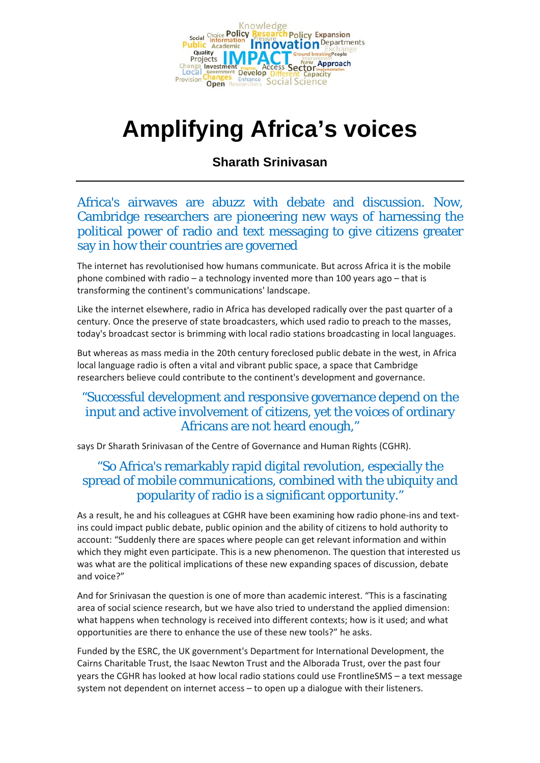

## **Amplifying Africa's voices**

**Sharath Srinivasan**

Africa's airwaves are abuzz with debate and discussion. Now, Cambridge researchers are pioneering new ways of harnessing the political power of radio and text messaging to give citizens greater say in how their countries are governed

The internet has revolutionised how humans communicate. But across Africa it is the mobile phone combined with radio – a technology invented more than 100 years ago – that is transforming the continent's communications' landscape.

Like the internet elsewhere, radio in Africa has developed radically over the past quarter of a century. Once the preserve of state broadcasters, which used radio to preach to the masses, today's broadcast sector is brimming with local radio stations broadcasting in local languages.

But whereas as mass media in the 20th century foreclosed public debate in the west, in Africa local language radio is often a vital and vibrant public space, a space that Cambridge researchers believe could contribute to the continent's development and governance.

## "Successful development and responsive governance depend on the input and active involvement of citizens, yet the voices of ordinary Africans are not heard enough,"

says Dr Sharath Srinivasan of the Centre of Governance and Human Rights (CGHR).

## "So Africa's remarkably rapid digital revolution, especially the spread of mobile communications, combined with the ubiquity and popularity of radio is a significant opportunity."

As a result, he and his colleagues at CGHR have been examining how radio phone-ins and textins could impact public debate, public opinion and the ability of citizens to hold authority to account: "Suddenly there are spaces where people can get relevant information and within which they might even participate. This is a new phenomenon. The question that interested us was what are the political implications of these new expanding spaces of discussion, debate and voice?"

And for Srinivasan the question is one of more than academic interest. "This is a fascinating area of social science research, but we have also tried to understand the applied dimension: what happens when technology is received into different contexts; how is it used; and what opportunities are there to enhance the use of these new tools?" he asks.

Funded by the ESRC, the UK government's Department for International Development, the Cairns Charitable Trust, the Isaac Newton Trust and the Alborada Trust, over the past four years the CGHR has looked at how local radio stations could use FrontlineSMS – a text message system not dependent on internet access – to open up a dialogue with their listeners.